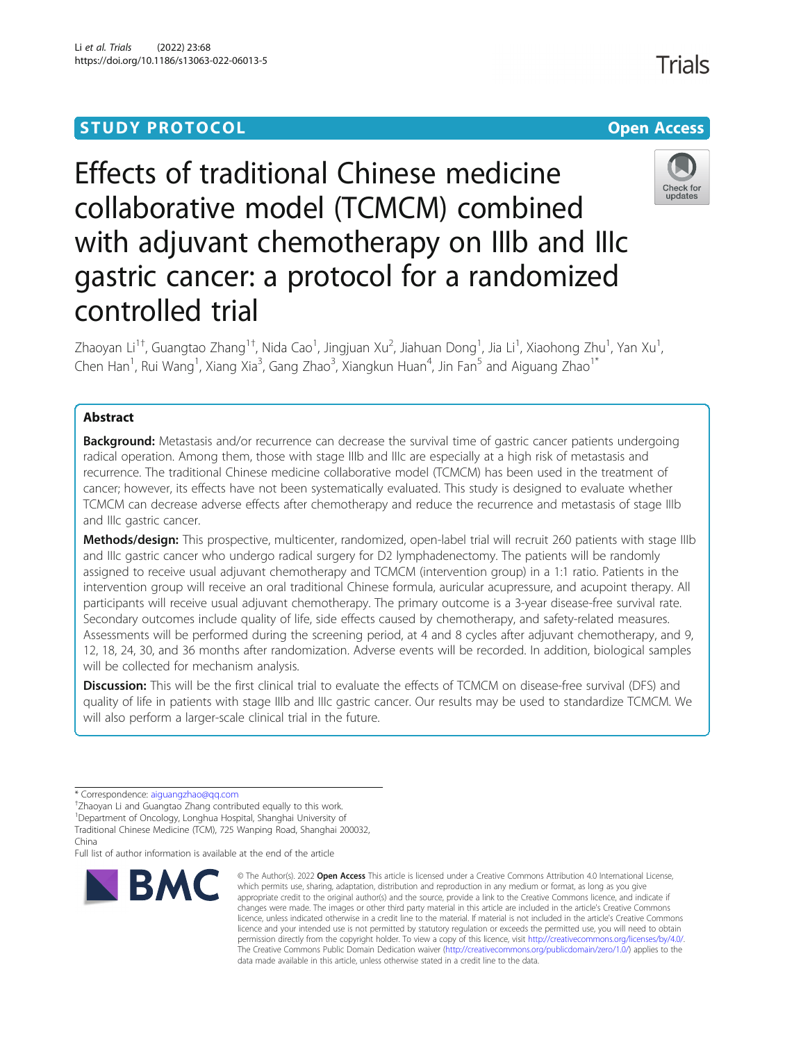## **STUDY PROTOCOL CONSUMING THE CONSUMING OPEN ACCESS**

# Effects of traditional Chinese medicine collaborative model (TCMCM) combined with adjuvant chemotherapy on IIIb and IIIc gastric cancer: a protocol for a randomized controlled trial

Zhaoyan Li<sup>1†</sup>, Guangtao Zhang<sup>1†</sup>, Nida Cao<sup>1</sup>, Jingjuan Xu<sup>2</sup>, Jiahuan Dong<sup>1</sup>, Jia Li<sup>1</sup>, Xiaohong Zhu<sup>1</sup>, Yan Xu<sup>1</sup> , Chen Han<sup>1</sup>, Rui Wang<sup>1</sup>, Xiang Xia<sup>3</sup>, Gang Zhao<sup>3</sup>, Xiangkun Huan<sup>4</sup>, Jin Fan<sup>5</sup> and Aiguang Zhao<sup>1\*</sup>

## Abstract

**Background:** Metastasis and/or recurrence can decrease the survival time of gastric cancer patients undergoing radical operation. Among them, those with stage IIIb and IIIc are especially at a high risk of metastasis and recurrence. The traditional Chinese medicine collaborative model (TCMCM) has been used in the treatment of cancer; however, its effects have not been systematically evaluated. This study is designed to evaluate whether TCMCM can decrease adverse effects after chemotherapy and reduce the recurrence and metastasis of stage IIIb and IIIc gastric cancer.

Methods/design: This prospective, multicenter, randomized, open-label trial will recruit 260 patients with stage IIIb and IIIc gastric cancer who undergo radical surgery for D2 lymphadenectomy. The patients will be randomly assigned to receive usual adjuvant chemotherapy and TCMCM (intervention group) in a 1:1 ratio. Patients in the intervention group will receive an oral traditional Chinese formula, auricular acupressure, and acupoint therapy. All participants will receive usual adjuvant chemotherapy. The primary outcome is a 3-year disease-free survival rate. Secondary outcomes include quality of life, side effects caused by chemotherapy, and safety-related measures. Assessments will be performed during the screening period, at 4 and 8 cycles after adjuvant chemotherapy, and 9, 12, 18, 24, 30, and 36 months after randomization. Adverse events will be recorded. In addition, biological samples will be collected for mechanism analysis.

**Discussion:** This will be the first clinical trial to evaluate the effects of TCMCM on disease-free survival (DFS) and quality of life in patients with stage IIIb and IIIc gastric cancer. Our results may be used to standardize TCMCM. We will also perform a larger-scale clinical trial in the future.

**BMC** 

Full list of author information is available at the end of the article

# Li et al. Trials (2022) 23:68 https://doi.org/10.1186/s13063-022-06013-5

which permits use, sharing, adaptation, distribution and reproduction in any medium or format, as long as you give appropriate credit to the original author(s) and the source, provide a link to the Creative Commons licence, and indicate if changes were made. The images or other third party material in this article are included in the article's Creative Commons licence, unless indicated otherwise in a credit line to the material. If material is not included in the article's Creative Commons licence and your intended use is not permitted by statutory regulation or exceeds the permitted use, you will need to obtain permission directly from the copyright holder. To view a copy of this licence, visit [http://creativecommons.org/licenses/by/4.0/.](http://creativecommons.org/licenses/by/4.0/) The Creative Commons Public Domain Dedication waiver [\(http://creativecommons.org/publicdomain/zero/1.0/](http://creativecommons.org/publicdomain/zero/1.0/)) applies to the data made available in this article, unless otherwise stated in a credit line to the data.

© The Author(s), 2022 **Open Access** This article is licensed under a Creative Commons Attribution 4.0 International License,







<sup>\*</sup> Correspondence: [aiguangzhao@qq.com](mailto:aiguangzhao@qq.com) †

<sup>&</sup>lt;sup>+</sup>Zhaoyan Li and Guangtao Zhang contributed equally to this work.

<sup>&</sup>lt;sup>1</sup>Department of Oncology, Longhua Hospital, Shanghai University of Traditional Chinese Medicine (TCM), 725 Wanping Road, Shanghai 200032,

China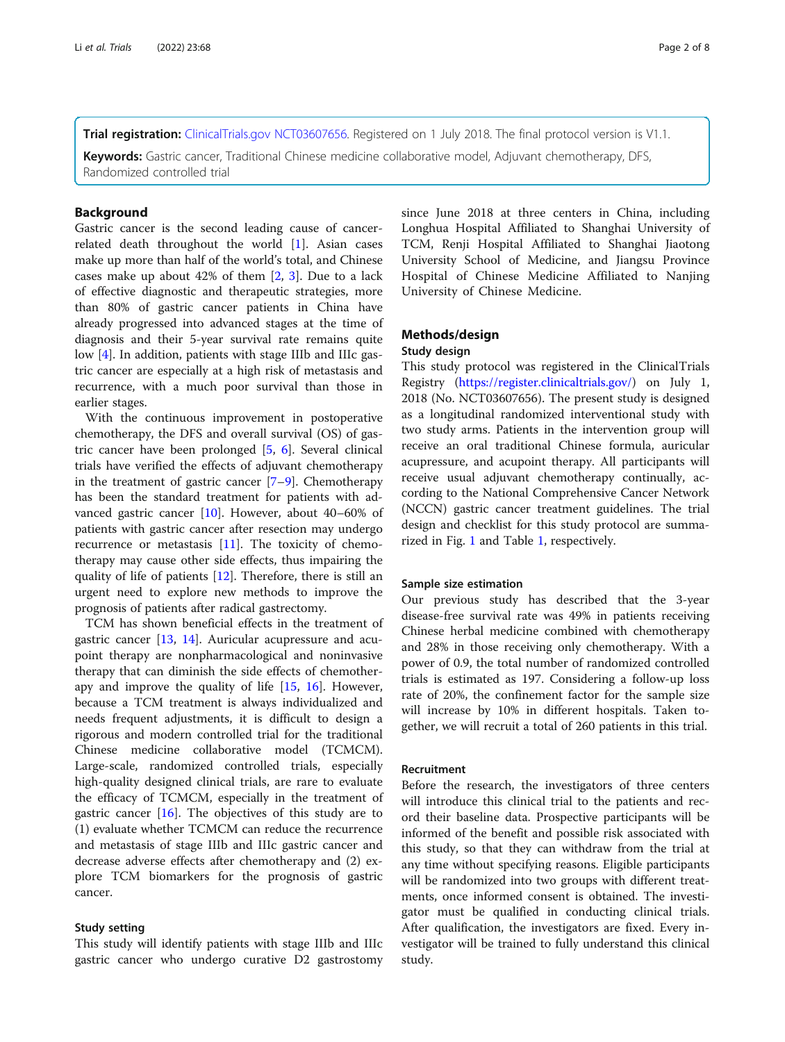Trial registration: [ClinicalTrials.gov](http://clinicaltrials.gov) [NCT03607656](https://clinicaltrials.gov/ct2/show/NCT03607656). Registered on 1 July 2018. The final protocol version is V1.1.

Keywords: Gastric cancer, Traditional Chinese medicine collaborative model, Adjuvant chemotherapy, DFS, Randomized controlled trial

#### **Background**

Gastric cancer is the second leading cause of cancerrelated death throughout the world [[1\]](#page-6-0). Asian cases make up more than half of the world's total, and Chinese cases make up about 42% of them [\[2](#page-6-0), [3](#page-6-0)]. Due to a lack of effective diagnostic and therapeutic strategies, more than 80% of gastric cancer patients in China have already progressed into advanced stages at the time of diagnosis and their 5-year survival rate remains quite low [\[4](#page-6-0)]. In addition, patients with stage IIIb and IIIc gastric cancer are especially at a high risk of metastasis and recurrence, with a much poor survival than those in earlier stages.

With the continuous improvement in postoperative chemotherapy, the DFS and overall survival (OS) of gastric cancer have been prolonged [\[5,](#page-6-0) [6](#page-6-0)]. Several clinical trials have verified the effects of adjuvant chemotherapy in the treatment of gastric cancer [\[7](#page-6-0)–[9](#page-6-0)]. Chemotherapy has been the standard treatment for patients with advanced gastric cancer [\[10\]](#page-6-0). However, about 40–60% of patients with gastric cancer after resection may undergo recurrence or metastasis [\[11](#page-6-0)]. The toxicity of chemotherapy may cause other side effects, thus impairing the quality of life of patients [[12](#page-6-0)]. Therefore, there is still an urgent need to explore new methods to improve the prognosis of patients after radical gastrectomy.

TCM has shown beneficial effects in the treatment of gastric cancer [[13,](#page-7-0) [14\]](#page-7-0). Auricular acupressure and acupoint therapy are nonpharmacological and noninvasive therapy that can diminish the side effects of chemotherapy and improve the quality of life [[15](#page-7-0), [16\]](#page-7-0). However, because a TCM treatment is always individualized and needs frequent adjustments, it is difficult to design a rigorous and modern controlled trial for the traditional Chinese medicine collaborative model (TCMCM). Large-scale, randomized controlled trials, especially high-quality designed clinical trials, are rare to evaluate the efficacy of TCMCM, especially in the treatment of gastric cancer  $[16]$  $[16]$ . The objectives of this study are to (1) evaluate whether TCMCM can reduce the recurrence and metastasis of stage IIIb and IIIc gastric cancer and decrease adverse effects after chemotherapy and (2) explore TCM biomarkers for the prognosis of gastric cancer.

#### Study setting

This study will identify patients with stage IIIb and IIIc gastric cancer who undergo curative D2 gastrostomy since June 2018 at three centers in China, including Longhua Hospital Affiliated to Shanghai University of TCM, Renji Hospital Affiliated to Shanghai Jiaotong University School of Medicine, and Jiangsu Province Hospital of Chinese Medicine Affiliated to Nanjing University of Chinese Medicine.

#### Methods/design Study design

This study protocol was registered in the ClinicalTrials Registry [\(https://register.clinicaltrials.gov/\)](https://register.clinicaltrials.gov/) on July 1, 2018 (No. NCT03607656). The present study is designed as a longitudinal randomized interventional study with two study arms. Patients in the intervention group will receive an oral traditional Chinese formula, auricular acupressure, and acupoint therapy. All participants will receive usual adjuvant chemotherapy continually, according to the National Comprehensive Cancer Network (NCCN) gastric cancer treatment guidelines. The trial design and checklist for this study protocol are summarized in Fig. [1](#page-2-0) and Table [1,](#page-3-0) respectively.

#### Sample size estimation

Our previous study has described that the 3-year disease-free survival rate was 49% in patients receiving Chinese herbal medicine combined with chemotherapy and 28% in those receiving only chemotherapy. With a power of 0.9, the total number of randomized controlled trials is estimated as 197. Considering a follow-up loss rate of 20%, the confinement factor for the sample size will increase by 10% in different hospitals. Taken together, we will recruit a total of 260 patients in this trial.

#### Recruitment

Before the research, the investigators of three centers will introduce this clinical trial to the patients and record their baseline data. Prospective participants will be informed of the benefit and possible risk associated with this study, so that they can withdraw from the trial at any time without specifying reasons. Eligible participants will be randomized into two groups with different treatments, once informed consent is obtained. The investigator must be qualified in conducting clinical trials. After qualification, the investigators are fixed. Every investigator will be trained to fully understand this clinical study.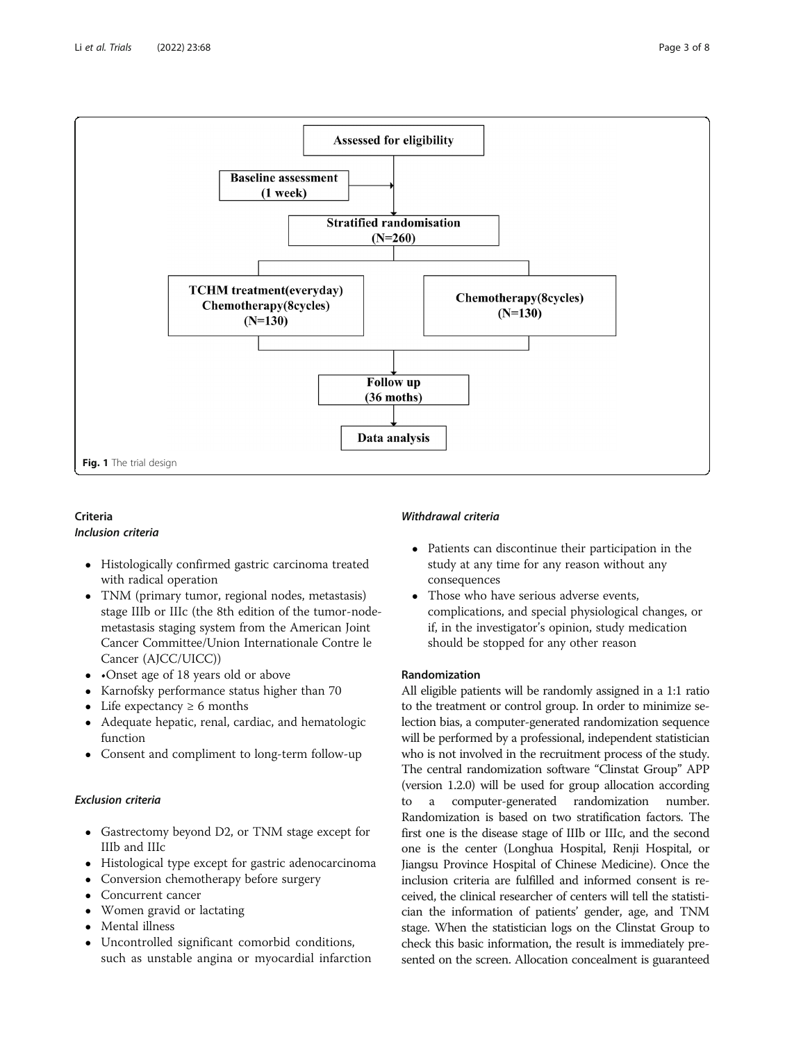<span id="page-2-0"></span>

## Criteria

## Inclusion criteria

- Histologically confirmed gastric carcinoma treated with radical operation
- TNM (primary tumor, regional nodes, metastasis) stage IIIb or IIIc (the 8th edition of the tumor-nodemetastasis staging system from the American Joint Cancer Committee/Union Internationale Contre le Cancer (AJCC/UICC))
- • Onset age of 18 years old or above
- Karnofsky performance status higher than 70
- Life expectancy  $\geq 6$  months
- Adequate hepatic, renal, cardiac, and hematologic function
- Consent and compliment to long-term follow-up

## Exclusion criteria

- Gastrectomy beyond D2, or TNM stage except for IIIb and IIIc
- Histological type except for gastric adenocarcinoma
- Conversion chemotherapy before surgery
- Concurrent cancer
- Women gravid or lactating
- Mental illness
- Uncontrolled significant comorbid conditions, such as unstable angina or myocardial infarction

## Withdrawal criteria

- Patients can discontinue their participation in the study at any time for any reason without any consequences
- Those who have serious adverse events, complications, and special physiological changes, or if, in the investigator's opinion, study medication should be stopped for any other reason

## Randomization

All eligible patients will be randomly assigned in a 1:1 ratio to the treatment or control group. In order to minimize selection bias, a computer-generated randomization sequence will be performed by a professional, independent statistician who is not involved in the recruitment process of the study. The central randomization software "Clinstat Group" APP (version 1.2.0) will be used for group allocation according to a computer-generated randomization number. Randomization is based on two stratification factors. The first one is the disease stage of IIIb or IIIc, and the second one is the center (Longhua Hospital, Renji Hospital, or Jiangsu Province Hospital of Chinese Medicine). Once the inclusion criteria are fulfilled and informed consent is received, the clinical researcher of centers will tell the statistician the information of patients' gender, age, and TNM stage. When the statistician logs on the Clinstat Group to check this basic information, the result is immediately presented on the screen. Allocation concealment is guaranteed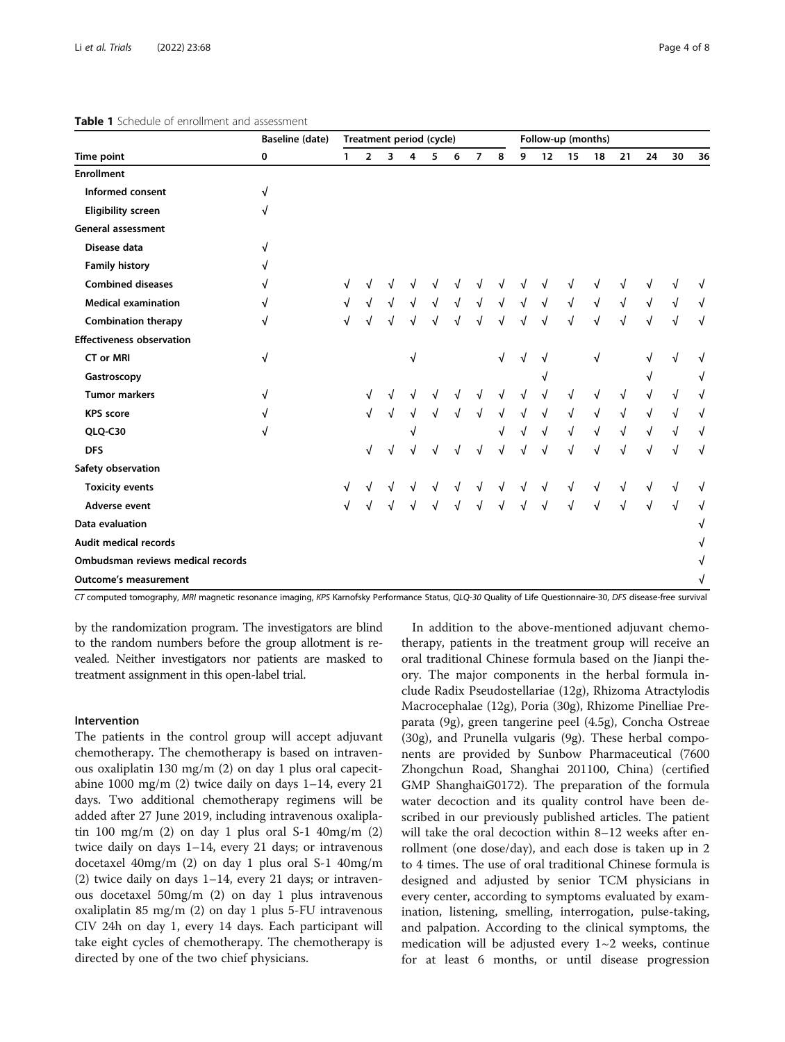#### <span id="page-3-0"></span>Table 1 Schedule of enrollment and assessment

| Time point                        | Baseline (date)<br>0 | Treatment period (cycle) |                |            |   |   |            |                |            | Follow-up (months) |            |            |            |                      |    |            |            |
|-----------------------------------|----------------------|--------------------------|----------------|------------|---|---|------------|----------------|------------|--------------------|------------|------------|------------|----------------------|----|------------|------------|
|                                   |                      | 1                        | $\overline{2}$ | 3          | 4 | 5 | 6          | $\overline{7}$ | 8          | 9                  | 12         | 15         | 18         | 21                   | 24 | 30         | 36         |
| <b>Enrollment</b>                 |                      |                          |                |            |   |   |            |                |            |                    |            |            |            |                      |    |            |            |
| Informed consent                  | $\sqrt{}$            |                          |                |            |   |   |            |                |            |                    |            |            |            |                      |    |            |            |
| <b>Eligibility screen</b>         | $\sqrt{ }$           |                          |                |            |   |   |            |                |            |                    |            |            |            |                      |    |            |            |
| <b>General assessment</b>         |                      |                          |                |            |   |   |            |                |            |                    |            |            |            |                      |    |            |            |
| Disease data                      | $\sqrt{ }$           |                          |                |            |   |   |            |                |            |                    |            |            |            |                      |    |            |            |
| <b>Family history</b>             | $\sqrt{ }$           |                          |                |            |   |   |            |                |            |                    |            |            |            |                      |    |            |            |
| <b>Combined diseases</b>          | $\sqrt{ }$           | √                        |                | √          |   |   |            |                |            |                    | √          | V          | √          | √                    |    | V          |            |
| <b>Medical examination</b>        | $\sqrt{ }$           | √                        |                | $\sqrt{ }$ |   |   | $\sqrt{}$  | √              | $\sqrt{ }$ | $\sqrt{}$          | $\sqrt{ }$ | $\sqrt{ }$ | $\sqrt{ }$ | $\sqrt{\phantom{a}}$ | √  | √          | √          |
| <b>Combination therapy</b>        | $\sqrt{ }$           | $\sqrt{ }$               |                |            |   |   |            |                |            |                    | √          | $\sqrt{ }$ | $\sqrt{ }$ | $\sqrt{ }$           | √  | √          | $\sqrt{}$  |
| <b>Effectiveness observation</b>  |                      |                          |                |            |   |   |            |                |            |                    |            |            |            |                      |    |            |            |
| <b>CT or MRI</b>                  | $\sqrt{}$            |                          |                |            |   |   |            |                | $\sqrt{ }$ | J                  | √          |            | $\sqrt{ }$ |                      |    | √          | √          |
| Gastroscopy                       |                      |                          |                |            |   |   |            |                |            |                    | V          |            |            |                      |    |            | √          |
| <b>Tumor markers</b>              | $\sqrt{}$            |                          | √              | √          |   |   | √          | √              | √          |                    | $\sqrt{ }$ | √          | $\sqrt{ }$ | $\sqrt{ }$           | √  | √          | $\sqrt{ }$ |
| <b>KPS</b> score                  | $\sqrt{ }$           |                          | $\sqrt{ }$     | $\sqrt{ }$ |   | √ | $\sqrt{}$  | $\sqrt{ }$     | V          |                    | √          | √          | $\sqrt{ }$ | $\sqrt{ }$           | √  | √          | $\sqrt{ }$ |
| QLQ-C30                           | $\sqrt{ }$           |                          |                |            |   |   |            |                | V          | $\sqrt{ }$         | √          | $\sqrt{ }$ | $\sqrt{ }$ | $\sqrt{ }$           | √  | √          | √          |
| <b>DFS</b>                        |                      |                          | $\sqrt{}$      | $\sqrt{ }$ |   |   | $\sqrt{ }$ | √              |            |                    | $\sqrt{ }$ | √          | $\sqrt{}$  | $\sqrt{ }$           | √  | √          | $\sqrt{ }$ |
| Safety observation                |                      |                          |                |            |   |   |            |                |            |                    |            |            |            |                      |    |            |            |
| <b>Toxicity events</b>            |                      | √                        |                | $\sqrt{ }$ |   |   |            | $\sqrt{}$      | $\sqrt{ }$ |                    | $\sqrt{ }$ | √          | $\sqrt{ }$ | $\sqrt{ }$           | √  | √          | √          |
| Adverse event                     |                      | $\sqrt{\phantom{a}}$     |                |            |   |   |            |                |            |                    | $\sqrt{2}$ | $\sqrt{2}$ | $\sqrt{ }$ | $\sqrt{ }$           | √  | $\sqrt{ }$ | √          |
| Data evaluation                   |                      |                          |                |            |   |   |            |                |            |                    |            |            |            |                      |    |            |            |
| Audit medical records             |                      |                          |                |            |   |   |            |                |            |                    |            |            |            |                      |    |            |            |
| Ombudsman reviews medical records |                      |                          |                |            |   |   |            |                |            |                    |            |            |            |                      |    |            | √          |
| <b>Outcome's measurement</b>      |                      |                          |                |            |   |   |            |                |            |                    |            |            |            |                      |    |            | √          |

CT computed tomography, MRI magnetic resonance imaging, KPS Karnofsky Performance Status, QLQ-30 Quality of Life Questionnaire-30, DFS disease-free survival

by the randomization program. The investigators are blind to the random numbers before the group allotment is revealed. Neither investigators nor patients are masked to treatment assignment in this open-label trial.

#### Intervention

The patients in the control group will accept adjuvant chemotherapy. The chemotherapy is based on intravenous oxaliplatin 130 mg/m (2) on day 1 plus oral capecitabine 1000 mg/m  $(2)$  twice daily on days 1–14, every 21 days. Two additional chemotherapy regimens will be added after 27 June 2019, including intravenous oxaliplatin 100 mg/m  $(2)$  on day 1 plus oral S-1 40mg/m  $(2)$ twice daily on days 1–14, every 21 days; or intravenous docetaxel 40mg/m (2) on day 1 plus oral S-1 40mg/m (2) twice daily on days 1–14, every 21 days; or intravenous docetaxel 50mg/m (2) on day 1 plus intravenous oxaliplatin 85 mg/m (2) on day 1 plus 5-FU intravenous CIV 24h on day 1, every 14 days. Each participant will take eight cycles of chemotherapy. The chemotherapy is directed by one of the two chief physicians.

In addition to the above-mentioned adjuvant chemotherapy, patients in the treatment group will receive an oral traditional Chinese formula based on the Jianpi theory. The major components in the herbal formula include Radix Pseudostellariae (12g), Rhizoma Atractylodis Macrocephalae (12g), Poria (30g), Rhizome Pinelliae Preparata (9g), green tangerine peel (4.5g), Concha Ostreae (30g), and Prunella vulgaris (9g). These herbal components are provided by Sunbow Pharmaceutical (7600 Zhongchun Road, Shanghai 201100, China) (certified GMP ShanghaiG0172). The preparation of the formula water decoction and its quality control have been described in our previously published articles. The patient will take the oral decoction within 8–12 weeks after enrollment (one dose/day), and each dose is taken up in 2 to 4 times. The use of oral traditional Chinese formula is designed and adjusted by senior TCM physicians in every center, according to symptoms evaluated by examination, listening, smelling, interrogation, pulse-taking, and palpation. According to the clinical symptoms, the medication will be adjusted every  $1~2$  weeks, continue for at least 6 months, or until disease progression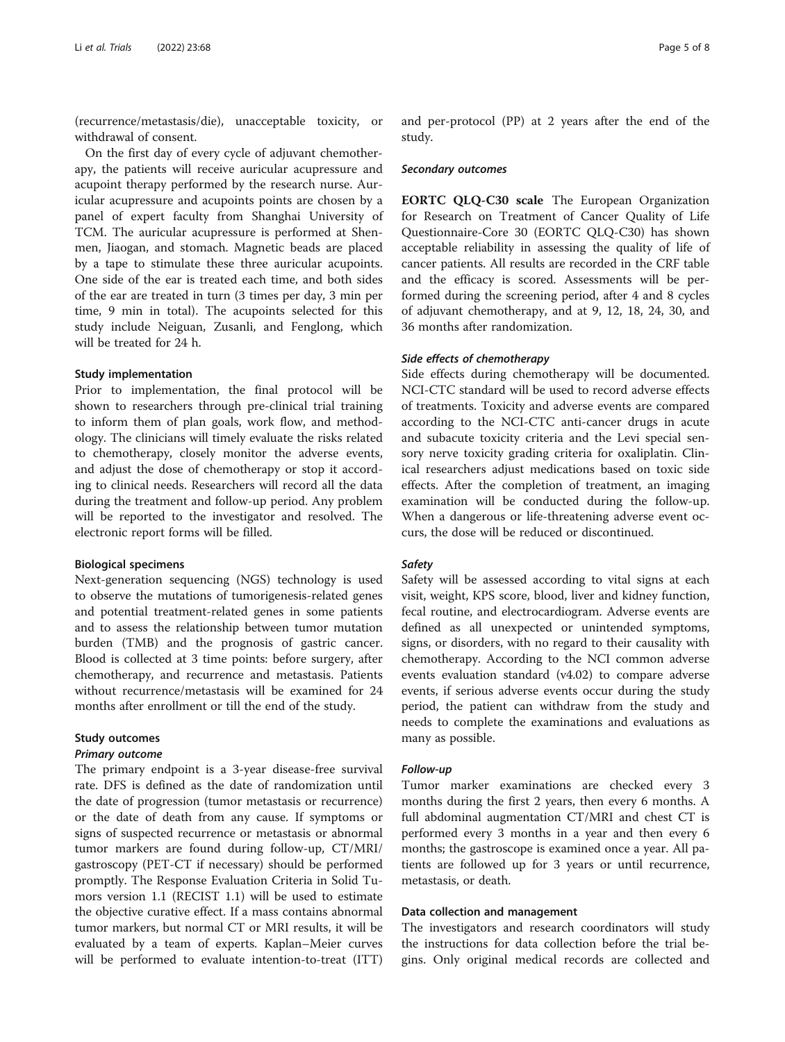(recurrence/metastasis/die), unacceptable toxicity, or withdrawal of consent.

On the first day of every cycle of adjuvant chemotherapy, the patients will receive auricular acupressure and acupoint therapy performed by the research nurse. Auricular acupressure and acupoints points are chosen by a panel of expert faculty from Shanghai University of TCM. The auricular acupressure is performed at Shenmen, Jiaogan, and stomach. Magnetic beads are placed by a tape to stimulate these three auricular acupoints. One side of the ear is treated each time, and both sides of the ear are treated in turn (3 times per day, 3 min per time, 9 min in total). The acupoints selected for this study include Neiguan, Zusanli, and Fenglong, which will be treated for 24 h.

#### Study implementation

Prior to implementation, the final protocol will be shown to researchers through pre-clinical trial training to inform them of plan goals, work flow, and methodology. The clinicians will timely evaluate the risks related to chemotherapy, closely monitor the adverse events, and adjust the dose of chemotherapy or stop it according to clinical needs. Researchers will record all the data during the treatment and follow-up period. Any problem will be reported to the investigator and resolved. The electronic report forms will be filled.

#### Biological specimens

Next-generation sequencing (NGS) technology is used to observe the mutations of tumorigenesis-related genes and potential treatment-related genes in some patients and to assess the relationship between tumor mutation burden (TMB) and the prognosis of gastric cancer. Blood is collected at 3 time points: before surgery, after chemotherapy, and recurrence and metastasis. Patients without recurrence/metastasis will be examined for 24 months after enrollment or till the end of the study.

## Study outcomes

### Primary outcome

The primary endpoint is a 3-year disease-free survival rate. DFS is defined as the date of randomization until the date of progression (tumor metastasis or recurrence) or the date of death from any cause. If symptoms or signs of suspected recurrence or metastasis or abnormal tumor markers are found during follow-up, CT/MRI/ gastroscopy (PET-CT if necessary) should be performed promptly. The Response Evaluation Criteria in Solid Tumors version 1.1 (RECIST 1.1) will be used to estimate the objective curative effect. If a mass contains abnormal tumor markers, but normal CT or MRI results, it will be evaluated by a team of experts. Kaplan–Meier curves will be performed to evaluate intention-to-treat (ITT) and per-protocol (PP) at 2 years after the end of the study.

#### Secondary outcomes

EORTC QLQ-C30 scale The European Organization for Research on Treatment of Cancer Quality of Life Questionnaire-Core 30 (EORTC QLQ-C30) has shown acceptable reliability in assessing the quality of life of cancer patients. All results are recorded in the CRF table and the efficacy is scored. Assessments will be performed during the screening period, after 4 and 8 cycles of adjuvant chemotherapy, and at 9, 12, 18, 24, 30, and 36 months after randomization.

#### Side effects of chemotherapy

Side effects during chemotherapy will be documented. NCI-CTC standard will be used to record adverse effects of treatments. Toxicity and adverse events are compared according to the NCI-CTC anti-cancer drugs in acute and subacute toxicity criteria and the Levi special sensory nerve toxicity grading criteria for oxaliplatin. Clinical researchers adjust medications based on toxic side effects. After the completion of treatment, an imaging examination will be conducted during the follow-up. When a dangerous or life-threatening adverse event occurs, the dose will be reduced or discontinued.

#### Safety

Safety will be assessed according to vital signs at each visit, weight, KPS score, blood, liver and kidney function, fecal routine, and electrocardiogram. Adverse events are defined as all unexpected or unintended symptoms, signs, or disorders, with no regard to their causality with chemotherapy. According to the NCI common adverse events evaluation standard (v4.02) to compare adverse events, if serious adverse events occur during the study period, the patient can withdraw from the study and needs to complete the examinations and evaluations as many as possible.

#### Follow-up

Tumor marker examinations are checked every 3 months during the first 2 years, then every 6 months. A full abdominal augmentation CT/MRI and chest CT is performed every 3 months in a year and then every 6 months; the gastroscope is examined once a year. All patients are followed up for 3 years or until recurrence, metastasis, or death.

#### Data collection and management

The investigators and research coordinators will study the instructions for data collection before the trial begins. Only original medical records are collected and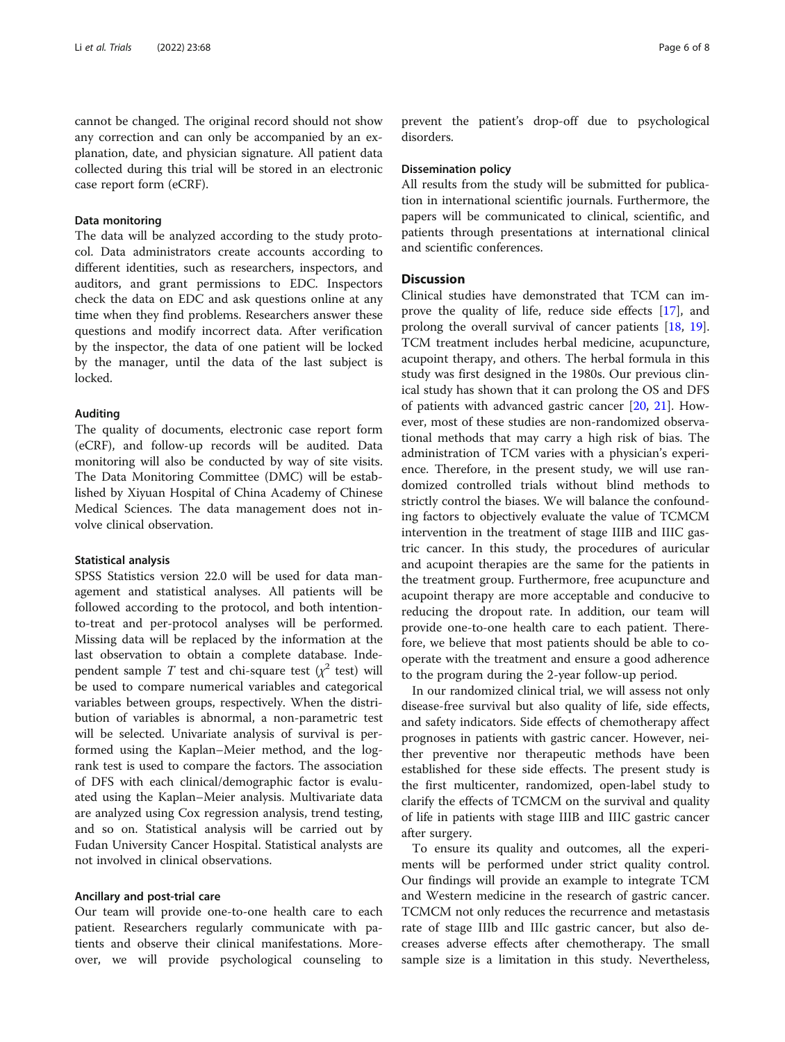cannot be changed. The original record should not show any correction and can only be accompanied by an explanation, date, and physician signature. All patient data collected during this trial will be stored in an electronic case report form (eCRF).

#### Data monitoring

The data will be analyzed according to the study protocol. Data administrators create accounts according to different identities, such as researchers, inspectors, and auditors, and grant permissions to EDC. Inspectors check the data on EDC and ask questions online at any time when they find problems. Researchers answer these questions and modify incorrect data. After verification by the inspector, the data of one patient will be locked by the manager, until the data of the last subject is locked.

#### Auditing

The quality of documents, electronic case report form (eCRF), and follow-up records will be audited. Data monitoring will also be conducted by way of site visits. The Data Monitoring Committee (DMC) will be established by Xiyuan Hospital of China Academy of Chinese Medical Sciences. The data management does not involve clinical observation.

#### Statistical analysis

SPSS Statistics version 22.0 will be used for data management and statistical analyses. All patients will be followed according to the protocol, and both intentionto-treat and per-protocol analyses will be performed. Missing data will be replaced by the information at the last observation to obtain a complete database. Independent sample T test and chi-square test  $(x^2 \text{ test})$  will be used to compare numerical variables and categorical variables between groups, respectively. When the distribution of variables is abnormal, a non-parametric test will be selected. Univariate analysis of survival is performed using the Kaplan–Meier method, and the logrank test is used to compare the factors. The association of DFS with each clinical/demographic factor is evaluated using the Kaplan–Meier analysis. Multivariate data are analyzed using Cox regression analysis, trend testing, and so on. Statistical analysis will be carried out by Fudan University Cancer Hospital. Statistical analysts are not involved in clinical observations.

#### Ancillary and post-trial care

Our team will provide one-to-one health care to each patient. Researchers regularly communicate with patients and observe their clinical manifestations. Moreover, we will provide psychological counseling to prevent the patient's drop-off due to psychological disorders.

#### Dissemination policy

All results from the study will be submitted for publication in international scientific journals. Furthermore, the papers will be communicated to clinical, scientific, and patients through presentations at international clinical and scientific conferences.

## Discussion

Clinical studies have demonstrated that TCM can improve the quality of life, reduce side effects [\[17](#page-7-0)], and prolong the overall survival of cancer patients [\[18](#page-7-0), [19](#page-7-0)]. TCM treatment includes herbal medicine, acupuncture, acupoint therapy, and others. The herbal formula in this study was first designed in the 1980s. Our previous clinical study has shown that it can prolong the OS and DFS of patients with advanced gastric cancer [[20](#page-7-0), [21](#page-7-0)]. However, most of these studies are non-randomized observational methods that may carry a high risk of bias. The administration of TCM varies with a physician's experience. Therefore, in the present study, we will use randomized controlled trials without blind methods to strictly control the biases. We will balance the confounding factors to objectively evaluate the value of TCMCM intervention in the treatment of stage IIIB and IIIC gastric cancer. In this study, the procedures of auricular and acupoint therapies are the same for the patients in the treatment group. Furthermore, free acupuncture and acupoint therapy are more acceptable and conducive to reducing the dropout rate. In addition, our team will provide one-to-one health care to each patient. Therefore, we believe that most patients should be able to cooperate with the treatment and ensure a good adherence to the program during the 2-year follow-up period.

In our randomized clinical trial, we will assess not only disease-free survival but also quality of life, side effects, and safety indicators. Side effects of chemotherapy affect prognoses in patients with gastric cancer. However, neither preventive nor therapeutic methods have been established for these side effects. The present study is the first multicenter, randomized, open-label study to clarify the effects of TCMCM on the survival and quality of life in patients with stage IIIB and IIIC gastric cancer after surgery.

To ensure its quality and outcomes, all the experiments will be performed under strict quality control. Our findings will provide an example to integrate TCM and Western medicine in the research of gastric cancer. TCMCM not only reduces the recurrence and metastasis rate of stage IIIb and IIIc gastric cancer, but also decreases adverse effects after chemotherapy. The small sample size is a limitation in this study. Nevertheless,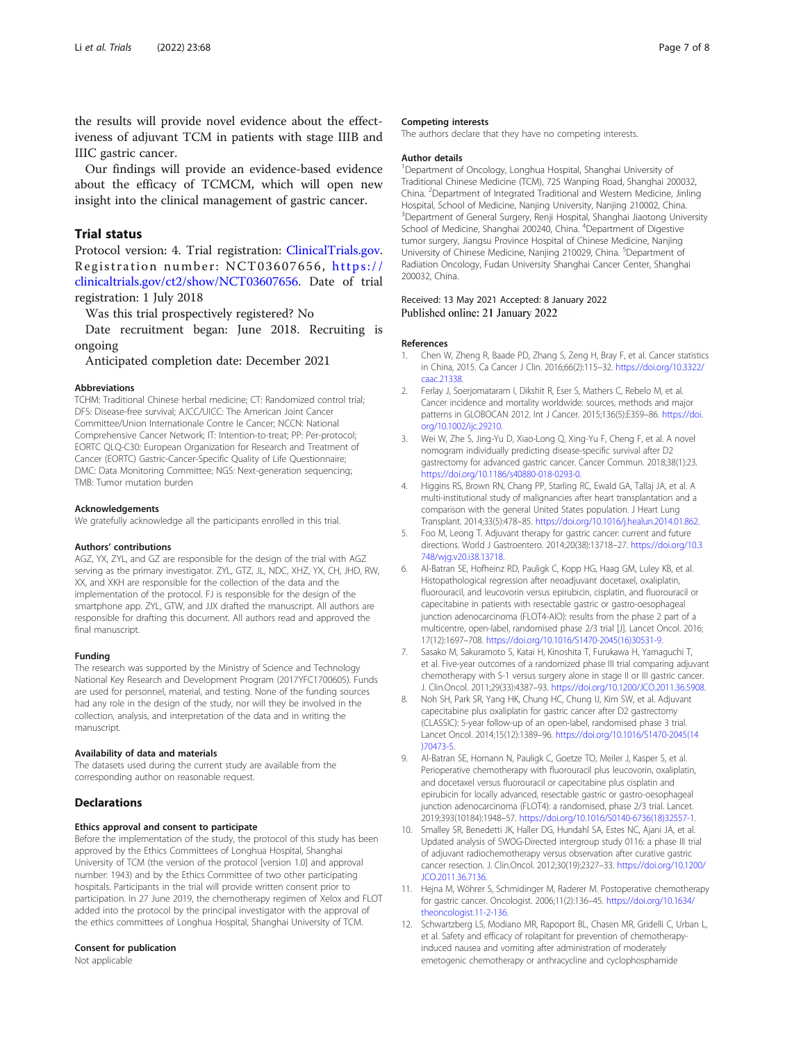<span id="page-6-0"></span>the results will provide novel evidence about the effectiveness of adjuvant TCM in patients with stage IIIB and IIIC gastric cancer.

Our findings will provide an evidence-based evidence about the efficacy of TCMCM, which will open new insight into the clinical management of gastric cancer.

## Trial status

Protocol version: 4. Trial registration: [ClinicalTrials.gov](http://clinicaltrials.gov). Registration number: NCT03607656, [https://](https://clinicaltrials.gov/ct2/show/NCT03607656) [clinicaltrials.gov/ct2/show/NCT03607656](https://clinicaltrials.gov/ct2/show/NCT03607656). Date of trial registration: 1 July 2018

Was this trial prospectively registered? No

Date recruitment began: June 2018. Recruiting is ongoing

Anticipated completion date: December 2021

#### Abbreviations

TCHM: Traditional Chinese herbal medicine; CT: Randomized control trial; DFS: Disease-free survival; AJCC/UICC: The American Joint Cancer Committee/Union Internationale Contre le Cancer; NCCN: National Comprehensive Cancer Network; IT: Intention-to-treat; PP: Per-protocol; EORTC QLQ-C30: European Organization for Research and Treatment of Cancer (EORTC) Gastric-Cancer-Specific Quality of Life Questionnaire; DMC: Data Monitoring Committee; NGS: Next-generation sequencing; TMB: Tumor mutation burden

#### Acknowledgements

We gratefully acknowledge all the participants enrolled in this trial.

#### Authors' contributions

AGZ, YX, ZYL, and GZ are responsible for the design of the trial with AGZ serving as the primary investigator. ZYL, GTZ, JL, NDC, XHZ, YX, CH, JHD, RW, XX, and XKH are responsible for the collection of the data and the implementation of the protocol. FJ is responsible for the design of the smartphone app. ZYL, GTW, and JJX drafted the manuscript. All authors are responsible for drafting this document. All authors read and approved the final manuscript.

#### Funding

The research was supported by the Ministry of Science and Technology National Key Research and Development Program (2017YFC1700605). Funds are used for personnel, material, and testing. None of the funding sources had any role in the design of the study, nor will they be involved in the collection, analysis, and interpretation of the data and in writing the manuscript.

#### Availability of data and materials

The datasets used during the current study are available from the corresponding author on reasonable request.

#### Declarations

#### Ethics approval and consent to participate

Before the implementation of the study, the protocol of this study has been approved by the Ethics Committees of Longhua Hospital, Shanghai University of TCM (the version of the protocol [version 1.0] and approval number: 1943) and by the Ethics Committee of two other participating hospitals. Participants in the trial will provide written consent prior to participation. In 27 June 2019, the chemotherapy regimen of Xelox and FLOT added into the protocol by the principal investigator with the approval of the ethics committees of Longhua Hospital, Shanghai University of TCM.

#### Consent for publication

Not applicable

#### Competing interests

The authors declare that they have no competing interests.

#### Author details

1 Department of Oncology, Longhua Hospital, Shanghai University of Traditional Chinese Medicine (TCM), 725 Wanping Road, Shanghai 200032, China. <sup>2</sup>Department of Integrated Traditional and Western Medicine, Jinling Hospital, School of Medicine, Nanjing University, Nanjing 210002, China. <sup>3</sup>Department of General Surgery, Renji Hospital, Shanghai Jiaotong University School of Medicine, Shanghai 200240, China. <sup>4</sup>Department of Digestive tumor surgery, Jiangsu Province Hospital of Chinese Medicine, Nanjing University of Chinese Medicine, Nanjing 210029, China. <sup>5</sup>Department of Radiation Oncology, Fudan University Shanghai Cancer Center, Shanghai 200032, China.

#### Received: 13 May 2021 Accepted: 8 January 2022 Published online: 21 January 2022

#### References

- 1. Chen W, Zheng R, Baade PD, Zhang S, Zeng H, Bray F, et al. Cancer statistics in China, 2015. Ca Cancer J Clin. 2016;66(2):115–32. [https://doi.org/10.3322/](https://doi.org/10.3322/caac.21338) [caac.21338.](https://doi.org/10.3322/caac.21338)
- 2. Ferlay J, Soerjomataram I, Dikshit R, Eser S, Mathers C, Rebelo M, et al. Cancer incidence and mortality worldwide: sources, methods and major patterns in GLOBOCAN 2012. Int J Cancer. 2015;136(5):E359–86. [https://doi.](https://doi.org/10.1002/ijc.29210) [org/10.1002/ijc.29210](https://doi.org/10.1002/ijc.29210).
- 3. Wei W, Zhe S, Jing-Yu D, Xiao-Long Q, Xing-Yu F, Cheng F, et al. A novel nomogram individually predicting disease-specific survival after D2 gastrectomy for advanced gastric cancer. Cancer Commun. 2018;38(1):23. <https://doi.org/10.1186/s40880-018-0293-0>.
- 4. Higgins RS, Brown RN, Chang PP, Starling RC, Ewald GA, Tallaj JA, et al. A multi-institutional study of malignancies after heart transplantation and a comparison with the general United States population. J Heart Lung Transplant. 2014;33(5):478–85. [https://doi.org/10.1016/j.healun.2014.01.862.](https://doi.org/10.1016/j.healun.2014.01.862)
- 5. Foo M, Leong T. Adjuvant therapy for gastric cancer: current and future directions. World J Gastroentero. 2014;20(38):13718–27. [https://doi.org/10.3](https://doi.org/10.3748/wjg.v20.i38.13718) [748/wjg.v20.i38.13718.](https://doi.org/10.3748/wjg.v20.i38.13718)
- 6. Al-Batran SE, Hofheinz RD, Pauligk C, Kopp HG, Haag GM, Luley KB, et al. Histopathological regression after neoadjuvant docetaxel, oxaliplatin, fluorouracil, and leucovorin versus epirubicin, cisplatin, and fluorouracil or capecitabine in patients with resectable gastric or gastro-oesophageal junction adenocarcinoma (FLOT4-AIO): results from the phase 2 part of a multicentre, open-label, randomised phase 2/3 trial [J]. Lancet Oncol. 2016; 17(12):1697–708. [https://doi.org/10.1016/S1470-2045\(16\)30531-9](https://doi.org/10.1016/S1470-2045(16)30531-9).
- 7. Sasako M, Sakuramoto S, Katai H, Kinoshita T, Furukawa H, Yamaguchi T, et al. Five-year outcomes of a randomized phase III trial comparing adjuvant chemotherapy with S-1 versus surgery alone in stage II or III gastric cancer. J. Clin.Oncol. 2011;29(33):4387–93. [https://doi.org/10.1200/JCO.2011.36.5908.](https://doi.org/10.1200/JCO.2011.36.5908)
- 8. Noh SH, Park SR, Yang HK, Chung HC, Chung IJ, Kim SW, et al. Adjuvant capecitabine plus oxaliplatin for gastric cancer after D2 gastrectomy (CLASSIC): 5-year follow-up of an open-label, randomised phase 3 trial. Lancet Oncol. 2014;15(12):1389–96. [https://doi.org/10.1016/S1470-2045\(14](https://doi.org/10.1016/S1470-2045(14)70473-5) [\)70473-5](https://doi.org/10.1016/S1470-2045(14)70473-5).
- 9. Al-Batran SE, Homann N, Pauligk C, Goetze TO, Meiler J, Kasper S, et al. Perioperative chemotherapy with fluorouracil plus leucovorin, oxaliplatin, and docetaxel versus fluorouracil or capecitabine plus cisplatin and epirubicin for locally advanced, resectable gastric or gastro-oesophageal junction adenocarcinoma (FLOT4): a randomised, phase 2/3 trial. Lancet. 2019;393(10184):1948–57. [https://doi.org/10.1016/S0140-6736\(18\)32557-1](https://doi.org/10.1016/S0140-6736(18)32557-1).
- 10. Smalley SR, Benedetti JK, Haller DG, Hundahl SA, Estes NC, Ajani JA, et al. Updated analysis of SWOG-Directed intergroup study 0116: a phase III trial of adjuvant radiochemotherapy versus observation after curative gastric cancer resection. J. Clin.Oncol. 2012;30(19):2327–33. [https://doi.org/10.1200/](https://doi.org/10.1200/JCO.2011.36.7136) [JCO.2011.36.7136.](https://doi.org/10.1200/JCO.2011.36.7136)
- 11. Hejna M, Wöhrer S, Schmidinger M, Raderer M. Postoperative chemotherapy for gastric cancer. Oncologist. 2006;11(2):136–45. [https://doi.org/10.1634/](https://doi.org/10.1634/theoncologist.11-2-136) [theoncologist.11-2-136.](https://doi.org/10.1634/theoncologist.11-2-136)
- 12. Schwartzberg LS, Modiano MR, Rapoport BL, Chasen MR, Gridelli C, Urban L, et al. Safety and efficacy of rolapitant for prevention of chemotherapyinduced nausea and vomiting after administration of moderately emetogenic chemotherapy or anthracycline and cyclophosphamide